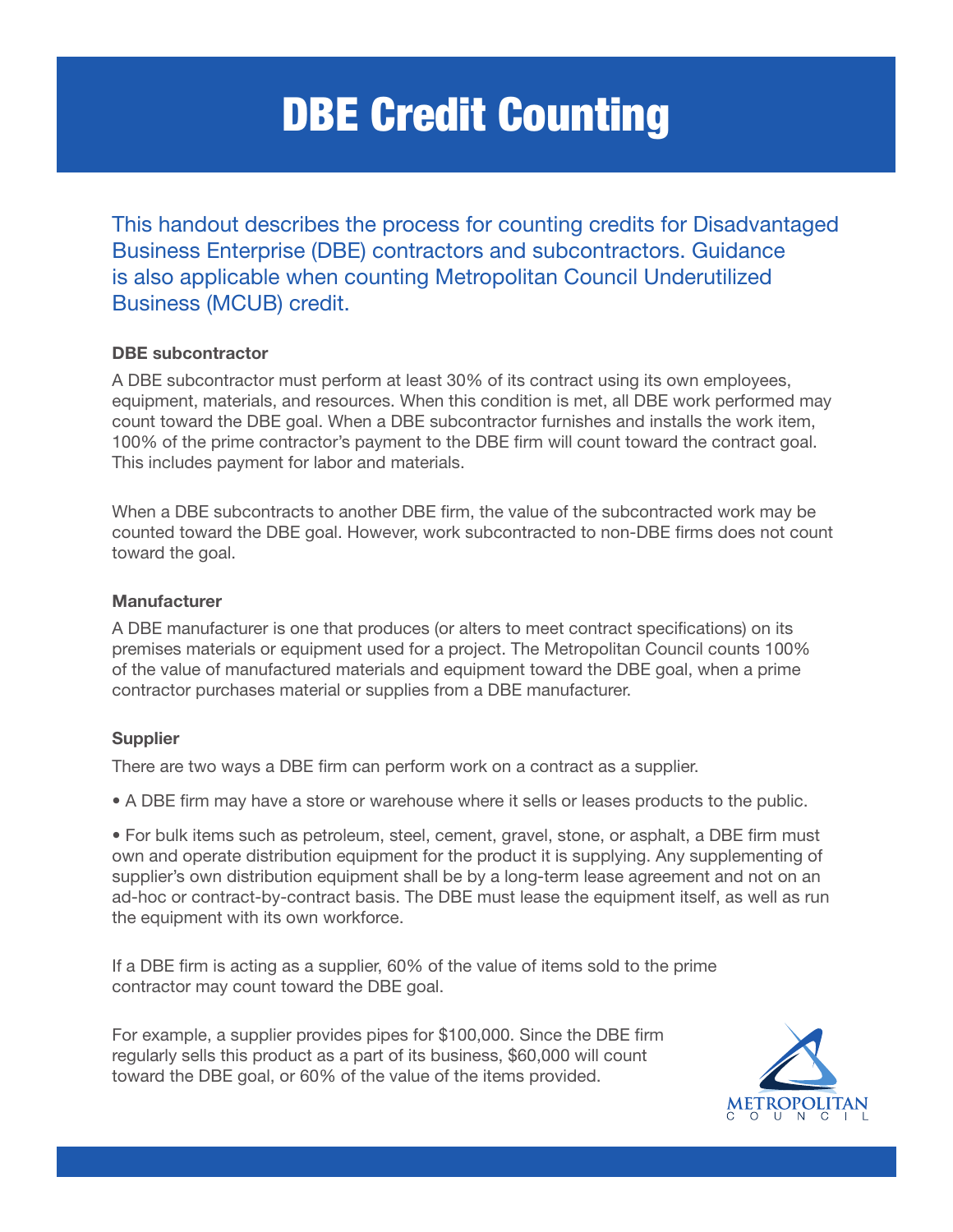# DBE Credit Counting

This handout describes the process for counting credits for Disadvantaged Business Enterprise (DBE) contractors and subcontractors. Guidance is also applicable when counting Metropolitan Council Underutilized Business (MCUB) credit.

### DBE subcontractor

A DBE subcontractor must perform at least 30% of its contract using its own employees, equipment, materials, and resources. When this condition is met, all DBE work performed may count toward the DBE goal. When a DBE subcontractor furnishes and installs the work item, 100% of the prime contractor's payment to the DBE firm will count toward the contract goal. This includes payment for labor and materials.

When a DBE subcontracts to another DBE firm, the value of the subcontracted work may be counted toward the DBE goal. However, work subcontracted to non-DBE firms does not count toward the goal.

#### Manufacturer

A DBE manufacturer is one that produces (or alters to meet contract specifications) on its premises materials or equipment used for a project. The Metropolitan Council counts 100% of the value of manufactured materials and equipment toward the DBE goal, when a prime contractor purchases material or supplies from a DBE manufacturer.

#### **Supplier**

There are two ways a DBE firm can perform work on a contract as a supplier.

• A DBE firm may have a store or warehouse where it sells or leases products to the public.

• For bulk items such as petroleum, steel, cement, gravel, stone, or asphalt, a DBE firm must own and operate distribution equipment for the product it is supplying. Any supplementing of supplier's own distribution equipment shall be by a long-term lease agreement and not on an ad-hoc or contract-by-contract basis. The DBE must lease the equipment itself, as well as run the equipment with its own workforce.

If a DBE firm is acting as a supplier, 60% of the value of items sold to the prime contractor may count toward the DBE goal.

For example, a supplier provides pipes for \$100,000. Since the DBE firm regularly sells this product as a part of its business, \$60,000 will count toward the DBE goal, or 60% of the value of the items provided.